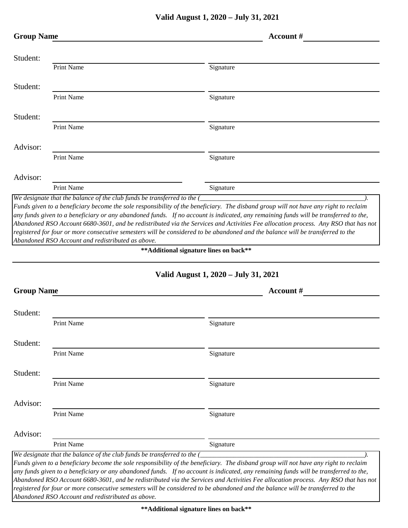|                                              | <b>Group Name</b>                                                       | Account #                                                                                                                                                                                                                                                                                                                                                                                                          |
|----------------------------------------------|-------------------------------------------------------------------------|--------------------------------------------------------------------------------------------------------------------------------------------------------------------------------------------------------------------------------------------------------------------------------------------------------------------------------------------------------------------------------------------------------------------|
| Student:                                     |                                                                         |                                                                                                                                                                                                                                                                                                                                                                                                                    |
|                                              | Print Name                                                              | Signature                                                                                                                                                                                                                                                                                                                                                                                                          |
| Student:                                     |                                                                         |                                                                                                                                                                                                                                                                                                                                                                                                                    |
|                                              | <b>Print Name</b>                                                       | Signature                                                                                                                                                                                                                                                                                                                                                                                                          |
| Student:                                     |                                                                         |                                                                                                                                                                                                                                                                                                                                                                                                                    |
|                                              | Print Name                                                              | Signature                                                                                                                                                                                                                                                                                                                                                                                                          |
| Advisor:                                     | Print Name                                                              | Signature                                                                                                                                                                                                                                                                                                                                                                                                          |
|                                              |                                                                         |                                                                                                                                                                                                                                                                                                                                                                                                                    |
| Advisor:                                     | Print Name                                                              | Signature                                                                                                                                                                                                                                                                                                                                                                                                          |
|                                              | We designate that the balance of the club funds be transferred to the ( |                                                                                                                                                                                                                                                                                                                                                                                                                    |
|                                              |                                                                         | Valid August 1, 2020 – July 31, 2021                                                                                                                                                                                                                                                                                                                                                                               |
| <b>Group Name</b>                            |                                                                         | Account #                                                                                                                                                                                                                                                                                                                                                                                                          |
|                                              |                                                                         |                                                                                                                                                                                                                                                                                                                                                                                                                    |
|                                              |                                                                         |                                                                                                                                                                                                                                                                                                                                                                                                                    |
|                                              | Print Name                                                              | Signature                                                                                                                                                                                                                                                                                                                                                                                                          |
|                                              |                                                                         |                                                                                                                                                                                                                                                                                                                                                                                                                    |
|                                              | Print Name                                                              | Signature                                                                                                                                                                                                                                                                                                                                                                                                          |
|                                              | Print Name                                                              | Signature                                                                                                                                                                                                                                                                                                                                                                                                          |
|                                              |                                                                         |                                                                                                                                                                                                                                                                                                                                                                                                                    |
| Student:<br>Student:<br>Student:<br>Advisor: | <b>Print Name</b>                                                       | Signature                                                                                                                                                                                                                                                                                                                                                                                                          |
|                                              |                                                                         |                                                                                                                                                                                                                                                                                                                                                                                                                    |
|                                              | Print Name                                                              | Signature                                                                                                                                                                                                                                                                                                                                                                                                          |
| Advisor:                                     | We designate that the balance of the club funds be transferred to the ( | Funds given to a beneficiary become the sole responsibility of the beneficiary. The disband group will not have any right to reclaim<br>any funds given to a beneficiary or any abandoned funds. If no account is indicated, any remaining funds will be transferred to the,<br>Abandoned RSO Account 6680-3601, and be redistributed via the Services and Activities Fee allocation process. Any RSO that has not |